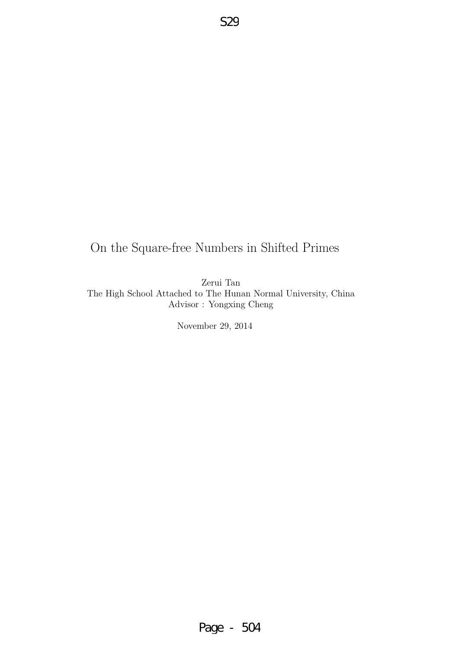## On the Square-free Numbers in Shifted Primes

S29

Zerui Tan The High School Attached to The Hunan Normal University, China Advisor : Yongxing Cheng

November 29, 2014

Page - 504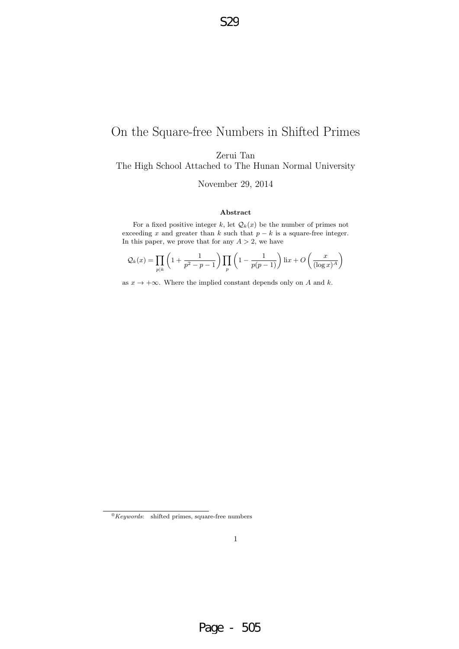## On the Square-free Numbers in Shifted Primes

Zerui Tan

The High School Attached to The Hunan Normal University

November 29, 2014

#### Abstract

For a fixed positive integer k, let  $\mathcal{Q}_k(x)$  be the number of primes not exceeding x and greater than k such that  $p - k$  is a square-free integer. In this paper, we prove that for any  $A > 2$ , we have

$$
\mathcal{Q}_k(x) = \prod_{p|k} \left(1 + \frac{1}{p^2 - p - 1}\right) \prod_p \left(1 - \frac{1}{p(p-1)}\right) \operatorname{li}x + O\left(\frac{x}{(\log x)^A}\right)
$$

as  $x \to +\infty$ . Where the implied constant depends only on A and k.

 $0$ Keywords: shifted primes, square-free numbers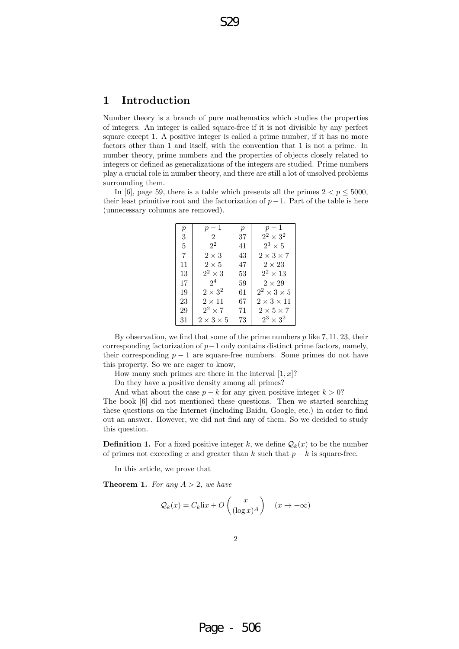### 1 Introduction

Number theory is a branch of pure mathematics which studies the properties of integers. An integer is called square-free if it is not divisible by any perfect square except 1. A positive integer is called a prime number, if it has no more factors other than 1 and itself, with the convention that 1 is not a prime. In number theory, prime numbers and the properties of objects closely related to integers or defined as generalizations of the integers are studied. Prime numbers play a crucial role in number theory, and there are still a lot of unsolved problems surrounding them.

In [6], page 59, there is a table which presents all the primes  $2 < p < 5000$ , their least primitive root and the factorization of  $p-1$ . Part of the table is here (unnecessary columns are removed).

| $\mathfrak{p}$ | $p-1$                 | $\boldsymbol{p}$ | $p-1$                   |
|----------------|-----------------------|------------------|-------------------------|
| 3              | 2                     | 37               | $2^2 \times 3^2$        |
| 5              | $2^2$                 | 41               | $2^3 \times 5$          |
| 7              | $2\times3$            | 43               | $2 \times 3 \times 7$   |
| 11             | $2\times 5$           | 47               | $2 \times 23$           |
| 13             | $2^2 \times 3$        | 53               | $2^2 \times 13$         |
| 17             | $2^4$                 | 59               | $2 \times 29$           |
| 19             | $2\times3^2$          | 61               | $2^2 \times 3 \times 5$ |
| 23             | $2 \times 11$         | 67               | $2 \times 3 \times 11$  |
| 29             | $2^2 \times 7$        | 71               | $2 \times 5 \times 7$   |
| 31             | $2 \times 3 \times 5$ | 73               | $2^3 \times 3^2$        |
|                |                       |                  |                         |

By observation, we find that some of the prime numbers  $p$  like  $7, 11, 23$ , their corresponding factorization of  $p-1$  only contains distinct prime factors, namely, their corresponding  $p - 1$  are square-free numbers. Some primes do not have this property. So we are eager to know,

How many such primes are there in the interval  $[1, x]$ ?

Do they have a positive density among all primes?

And what about the case  $p - k$  for any given positive integer  $k > 0$ ?

The book [6] did not mentioned these questions. Then we started searching these questions on the Internet (including Baidu, Google, etc.) in order to find out an answer. However, we did not find any of them. So we decided to study this question.

**Definition 1.** For a fixed positive integer k, we define  $Q_k(x)$  to be the number of primes not exceeding x and greater than k such that  $p - k$  is square-free.

In this article, we prove that

**Theorem 1.** For any  $A > 2$ , we have

$$
\mathcal{Q}_k(x) = C_k \text{li}x + O\left(\frac{x}{(\log x)^A}\right) \quad (x \to +\infty)
$$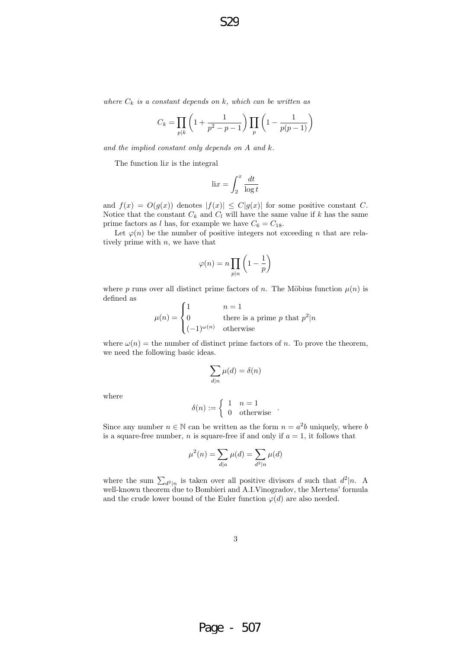where  $C_k$  is a constant depends on k, which can be written as

$$
C_k = \prod_{p|k} \left( 1 + \frac{1}{p^2 - p - 1} \right) \prod_p \left( 1 - \frac{1}{p(p-1)} \right)
$$

and the implied constant only depends on A and k.

The function  $\exists ix$  is the integral

$$
\operatorname{li} x = \int_2^x \frac{dt}{\log t}
$$

and  $f(x) = O(g(x))$  denotes  $|f(x)| \leq C|g(x)|$  for some positive constant C. Notice that the constant  $C_k$  and  $C_l$  will have the same value if k has the same prime factors as *l* has, for example we have  $C_6 = C_{18}$ .

Let  $\varphi(n)$  be the number of positive integers not exceeding n that are relatively prime with  $n$ , we have that

$$
\varphi(n) = n \prod_{p|n} \left( 1 - \frac{1}{p} \right)
$$

where p runs over all distinct prime factors of n. The Möbius function  $\mu(n)$  is defined as

$$
\mu(n) = \begin{cases} 1 & n = 1 \\ 0 & \text{there is a prime } p \text{ that } p^2 | n \\ (-1)^{\omega(n)} & \text{otherwise} \end{cases}
$$

where  $\omega(n)$  = the number of distinct prime factors of n. To prove the theorem, we need the following basic ideas.

$$
\sum_{d|n} \mu(d) = \delta(n)
$$

where

$$
\delta(n) := \begin{cases} 1 & n = 1 \\ 0 & \text{otherwise} \end{cases} .
$$

Since any number  $n \in \mathbb{N}$  can be written as the form  $n = a^2b$  uniquely, where b is a square-free number, *n* is square-free if and only if  $a = 1$ , it follows that

$$
\mu^{2}(n) = \sum_{d|a} \mu(d) = \sum_{d^{2}|n} \mu(d)
$$

where the sum  $\sum_{d^2|n}$  is taken over all positive divisors d such that  $d^2|n$ . A well-known theorem due to Bombieri and A.I.Vinogradov, the Mertens' formula and the crude lower bound of the Euler function  $\varphi(d)$  are also needed.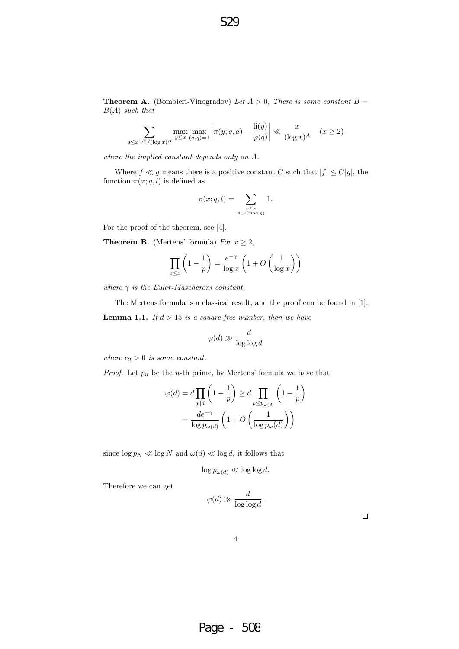**Theorem A.** (Bombieri-Vinogradov) Let  $A > 0$ , There is some constant  $B =$  $B(A)$  such that

$$
\sum_{q \le x^{1/2}/(\log x)^B} \max_{y \le x} \max_{(a,q)=1} \left| \pi(y;q,a) - \frac{\text{li}(y)}{\varphi(q)} \right| \ll \frac{x}{(\log x)^A} \quad (x \ge 2)
$$

where the implied constant depends only on A.

Where  $f \ll g$  means there is a positive constant C such that  $|f| \leq C|g|$ , the function  $\pi(x; q, l)$  is defined as

$$
\pi(x; q, l) = \sum_{\substack{p \le x \\ p \equiv l \pmod{q}}} 1.
$$

For the proof of the theorem, see [4].

**Theorem B.** (Mertens' formula) For  $x \geq 2$ ,

$$
\prod_{p \le x} \left( 1 - \frac{1}{p} \right) = \frac{e^{-\gamma}}{\log x} \left( 1 + O\left(\frac{1}{\log x}\right) \right)
$$

where  $\gamma$  is the Euler-Mascheroni constant.

The Mertens formula is a classical result, and the proof can be found in [1]. **Lemma 1.1.** If  $d > 15$  is a square-free number, then we have

$$
\varphi(d) \gg \frac{d}{\log \log d}
$$

where  $c_2 > 0$  is some constant.

*Proof.* Let  $p_n$  be the *n*-th prime, by Mertens' formula we have that

$$
\varphi(d) = d \prod_{p|d} \left( 1 - \frac{1}{p} \right) \ge d \prod_{p \le p_{\omega(d)}} \left( 1 - \frac{1}{p} \right)
$$

$$
= \frac{de^{-\gamma}}{\log p_{\omega(d)}} \left( 1 + O\left(\frac{1}{\log p_{\omega}(d)}\right) \right)
$$

since  $\log p_N \ll \log N$  and  $\omega(d) \ll \log d$ , it follows that

 $\log p_{\omega(d)} \ll \log \log d$ .

Therefore we can get

$$
\varphi(d) \gg \frac{d}{\log \log d}.
$$

 $\Box$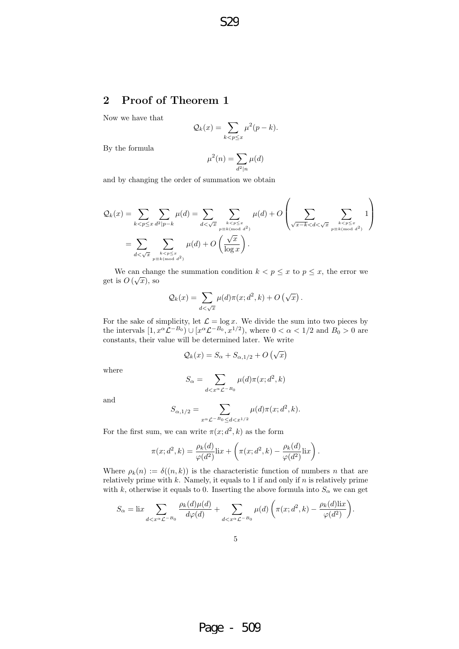### 2 Proof of Theorem 1

Now we have that

$$
\mathcal{Q}_k(x) = \sum_{k < p \le x} \mu^2(p - k).
$$

By the formula

$$
\mu^2(n)=\sum_{d^2\mid n}\mu(d)
$$

and by changing the order of summation we obtain

$$
\mathcal{Q}_k(x) = \sum_{k < p \le x} \sum_{d^2 \mid p-k} \mu(d) = \sum_{d < \sqrt{x}} \sum_{\substack{k < p \le x \\ p \equiv k \pmod{d^2}}} \mu(d) + O\left(\sum_{\substack{\sqrt{x-k} < d < \sqrt{x} \\ \sqrt{x-k} < d < \sqrt{x}}} \sum_{\substack{k < p \le x \\ p \equiv k \pmod{d^2}}} 1\right)
$$
\n
$$
= \sum_{d < \sqrt{x}} \sum_{\substack{k < p \le x \\ p \equiv k \pmod{d^2}}} \mu(d) + O\left(\frac{\sqrt{x}}{\log x}\right).
$$

We can change the summation condition  $k < p \leq x$  to  $p \leq x$ , the error we get is  $O(\sqrt{x})$ , so

$$
\mathcal{Q}_k(x) = \sum_{d < \sqrt{x}} \mu(d)\pi(x; d^2, k) + O\left(\sqrt{x}\right).
$$

For the sake of simplicity, let  $\mathcal{L} = \log x$ . We divide the sum into two pieces by the intervals  $[1, x^{\alpha} \mathcal{L}^{-B_0}) \cup [x^{\alpha} \mathcal{L}^{-B_0}, x^{1/2}),$  where  $0 < \alpha < 1/2$  and  $B_0 > 0$  are constants, their value will be determined later. We write

$$
\mathcal{Q}_k(x) = S_\alpha + S_{\alpha,1/2} + O\left(\sqrt{x}\right)
$$

where

$$
S_{\alpha} = \sum_{d < x^{\alpha} \mathcal{L}^{-B_0}} \mu(d)\pi(x; d^2, k)
$$

and

$$
S_{\alpha,1/2} = \sum_{x^{\alpha} \mathcal{L}^{-B_0} \le d < x^{1/2}} \mu(d)\pi(x; d^2, k).
$$

For the first sum, we can write  $\pi(x; d^2, k)$  as the form

$$
\pi(x; d^2, k) = \frac{\rho_k(d)}{\varphi(d^2)} \mathrm{li}x + \left(\pi(x; d^2, k) - \frac{\rho_k(d)}{\varphi(d^2)} \mathrm{li}x\right).
$$

Where  $\rho_k(n) := \delta((n,k))$  is the characteristic function of numbers n that are relatively prime with  $k$ . Namely, it equals to 1 if and only if  $n$  is relatively prime with k, otherwise it equals to 0. Inserting the above formula into  $S_{\alpha}$  we can get

$$
S_{\alpha} = \operatorname{li} x \sum_{d < x^{\alpha} \mathcal{L}^{-B_0}} \frac{\rho_k(d)\mu(d)}{d\varphi(d)} + \sum_{d < x^{\alpha} \mathcal{L}^{-B_0}} \mu(d) \left( \pi(x; d^2, k) - \frac{\rho_k(d)\operatorname{li} x}{\varphi(d^2)} \right).
$$

Page - 509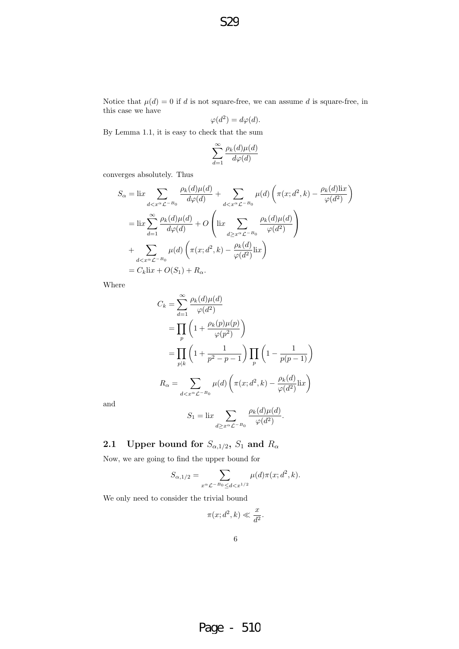Notice that  $\mu(d) = 0$  if d is not square-free, we can assume d is square-free, in this case we have

$$
\varphi(d^2) = d\varphi(d).
$$

By Lemma 1.1, it is easy to check that the sum

$$
\sum_{d=1}^\infty \frac{\rho_k(d)\mu(d)}{d\varphi(d)}
$$

converges absolutely. Thus

$$
S_{\alpha} = \operatorname{li} x \sum_{d < x^{\alpha} \mathcal{L}^{-B_0}} \frac{\rho_k(d)\mu(d)}{d\varphi(d)} + \sum_{d < x^{\alpha} \mathcal{L}^{-B_0}} \mu(d) \left( \pi(x; d^2, k) - \frac{\rho_k(d)\operatorname{li} x}{\varphi(d^2)} \right)
$$
\n
$$
= \operatorname{li} x \sum_{d=1}^{\infty} \frac{\rho_k(d)\mu(d)}{d\varphi(d)} + O\left(\operatorname{li} x \sum_{d \ge x^{\alpha} \mathcal{L}^{-B_0}} \frac{\rho_k(d)\mu(d)}{\varphi(d^2)} \right)
$$
\n
$$
+ \sum_{d < x^{\alpha} \mathcal{L}^{-B_0}} \mu(d) \left( \pi(x; d^2, k) - \frac{\rho_k(d)}{\varphi(d^2)} \operatorname{li} x \right)
$$
\n
$$
= C_k \operatorname{li} x + O(S_1) + R_{\alpha}.
$$

Where

$$
C_k = \sum_{d=1}^{\infty} \frac{\rho_k(d)\mu(d)}{\varphi(d^2)}
$$
  
= 
$$
\prod_p \left(1 + \frac{\rho_k(p)\mu(p)}{\varphi(p^2)}\right)
$$
  
= 
$$
\prod_{p|k} \left(1 + \frac{1}{p^2 - p - 1}\right) \prod_p \left(1 - \frac{1}{p(p-1)}\right)
$$
  

$$
R_{\alpha} = \sum_{d < x^{\alpha} \mathcal{L}^{-B_0}} \mu(d) \left(\pi(x; d^2, k) - \frac{\rho_k(d)}{\varphi(d^2)} \text{li}x\right)
$$

and

$$
S_1 = \text{li}x \sum_{d \ge x^{\alpha} \mathcal{L}^{-B_0}} \frac{\rho_k(d)\mu(d)}{\varphi(d^2)}.
$$

2.1 Upper bound for  $S_{\alpha,1/2}$ ,  $S_1$  and  $R_{\alpha}$ 

Now, we are going to find the upper bound for

$$
S_{\alpha,1/2} = \sum_{x^{\alpha} \mathcal{L}^{-B_0} \le d < x^{1/2}} \mu(d)\pi(x; d^2, k).
$$

We only need to consider the trivial bound

 $\pi(x; d^2, k) \ll \frac{x}{f}$  $rac{w}{d^2}$ .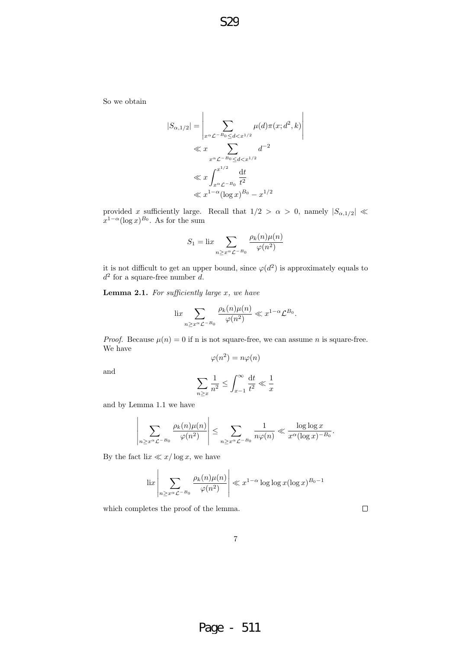So we obtain

$$
|S_{\alpha,1/2}| = \left| \sum_{x^{\alpha} \mathcal{L}^{-B_0} \le d < x^{1/2}} \mu(d)\pi(x; d^2, k) \right|
$$
  
\$\ll x\$ 
$$
\sum_{x^{\alpha} \mathcal{L}^{-B_0} \le d < x^{1/2}} d^{-2}
$$
  
\$\ll x\$ 
$$
\int_{x^{\alpha} \mathcal{L}^{-B_0}}^{x^{1/2}} \frac{dt}{t^2}
$$
  
\$\ll x^{1-\alpha} (\log x)^{B\_0} - x^{1/2}\$

provided x sufficiently large. Recall that  $1/2 > \alpha > 0$ , namely  $|S_{\alpha,1/2}| \ll$  $x^{1-\alpha}(\log x)^{B_0}$ . As for the sum

$$
S_1 = \lim_{n \ge x^{\alpha} \mathcal{L}^{-B_0}} \frac{\rho_k(n)\mu(n)}{\varphi(n^2)}
$$

it is not difficult to get an upper bound, since  $\varphi(d^2)$  is approximately equals to  $d^2$  for a square-free number d.

**Lemma 2.1.** For sufficiently large  $x$ , we have

$$
\operatorname{li} \sum_{n \ge x^{\alpha} \mathcal{L}^{-B_0}} \frac{\rho_k(n)\mu(n)}{\varphi(n^2)} \ll x^{1-\alpha} \mathcal{L}^{B_0}.
$$

*Proof.* Because  $\mu(n) = 0$  if n is not square-free, we can assume n is square-free. We have

$$
\varphi(n^2) = n\varphi(n)
$$

and

$$
\sum_{n\geq x} \frac{1}{n^2} \leq \int_{x-1}^{\infty} \frac{\mathrm{d}t}{t^2} \ll \frac{1}{x}
$$

and by Lemma 1.1 we have

$$
\left|\sum_{n\geq x^{\alpha} \mathcal{L}^{-B_0}}\frac{\rho_k(n)\mu(n)}{\varphi(n^2)}\right|\leq \sum_{n\geq x^{\alpha} \mathcal{L}^{-B_0}}\frac{1}{n\varphi(n)}\ll \frac{\log\log x}{x^{\alpha}(\log x)^{-B_0}}.
$$

By the fact  $\text{li}x \ll x/\log x$ , we have

$$
\left|\lim_{n\ge x^{\alpha}\mathcal{L}^{-B_0}}\frac{\rho_k(n)\mu(n)}{\varphi(n^2)}\right| \ll x^{1-\alpha}\log\log x(\log x)^{B_0-1}
$$

which completes the proof of the lemma.

 $\Box$ 

Page - 511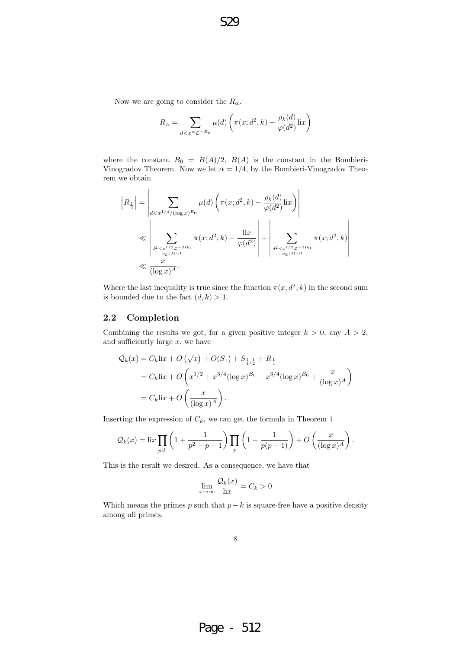Now we are going to consider the  $R_{\alpha}$ .

$$
R_{\alpha} = \sum_{d < x^{\alpha} \mathcal{L}^{-B_0}} \mu(d) \left( \pi(x; d^2, k) - \frac{\rho_k(d)}{\varphi(d^2)} \text{li} x \right)
$$

where the constant  $B_0 = B(A)/2$ ,  $B(A)$  is the constant in the Bombieri-Vinogradov Theorem. Now we let  $\alpha = 1/4$ , by the Bombieri-Vinogradov Theorem we obtain

$$
|R_{\frac{1}{4}}| = \left| \sum_{d < x^{1/4}/(\log x)^{B_0}} \mu(d) \left( \pi(x; d^2, k) - \frac{\rho_k(d)}{\varphi(d^2)} \text{li}x \right) \right|
$$
  

$$
\ll \left| \sum_{\substack{d^2 < x^{1/2} \leq x^{-2B_0} \\ \rho_k(d) = 1}} \pi(x; d^2, k) - \frac{\text{li}x}{\varphi(d^2)} \right| + \left| \sum_{\substack{d^2 < x^{1/2} \leq x^{-2B_0} \\ \rho_k(d) = 0}} \pi(x; d^2, k) \right|
$$
  

$$
\ll \frac{x}{(\log x)^A}.
$$

Where the last inequality is true since the function  $\pi(x; d^2, k)$  in the second sum is bounded due to the fact  $(d, k) > 1$ .

#### 2.2 Completion

Combining the results we got, for a given positive integer  $k > 0$ , any  $A > 2$ , and sufficiently large  $x$ , we have

$$
Q_k(x) = C_k \text{li}x + O\left(\sqrt{x}\right) + O(S_1) + S_{\frac{1}{4}, \frac{1}{2}} + R_{\frac{1}{4}}
$$
  
=  $C_k \text{li}x + O\left(x^{1/2} + x^{3/4} (\log x)^{B_0} + x^{3/4} (\log x)^{B_0} + \frac{x}{(\log x)^A}\right)$   
=  $C_k \text{li}x + O\left(\frac{x}{(\log x)^A}\right)$ .

Inserting the expression of  $C_k$ , we can get the formula in Theorem 1

$$
\mathcal{Q}_k(x) = \operatorname{li} x \prod_{p \mid k} \left( 1 + \frac{1}{p^2 - p - 1} \right) \prod_p \left( 1 - \frac{1}{p(p-1)} \right) + O\left(\frac{x}{(\log x)^A}\right).
$$

This is the result we desired. As a consequence, we have that

$$
\lim_{x \to \infty} \frac{\mathcal{Q}_k(x)}{\operatorname{li} x} = C_k > 0
$$

Which means the primes p such that  $p-k$  is square-free have a positive density among all primes.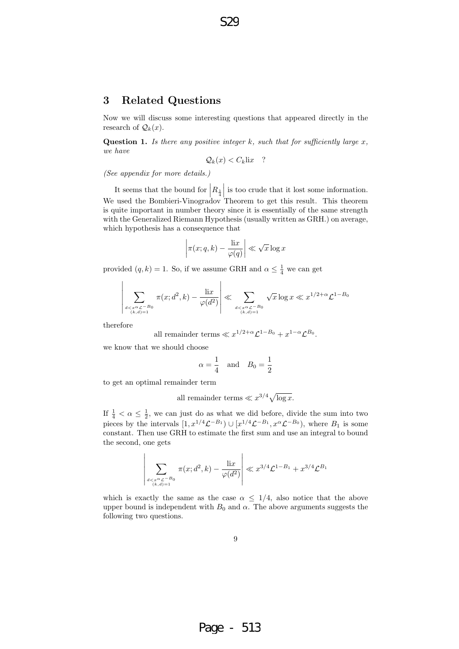#### 3 Related Questions

Now we will discuss some interesting questions that appeared directly in the research of  $\mathcal{Q}_k(x)$ .

**Question 1.** Is there any positive integer  $k$ , such that for sufficiently large  $x$ , we have

 $Q_k(x) < C_k$ lix?

(See appendix for more details.)

It seems that the bound for  $\left| R_{\frac{1}{4}} \right|$ We used the Bombieri-Vinogradov Theorem to get this result. This theorem is too crude that it lost some information. is quite important in number theory since it is essentially of the same strength with the Generalized Riemann Hypothesis (usually written as GRH.) on average, which hypothesis has a consequence that

$$
\left|\pi(x;q,k)-\frac{\operatorname{li} x}{\varphi(q)}\right|\ll \sqrt{x}\log x
$$

provided  $(q, k) = 1$ . So, if we assume GRH and  $\alpha \leq \frac{1}{4}$  we can get

$$
\left| \sum_{\substack{d < x^{\alpha} \mathcal{L}^{-B_0} \\ (k,d)=1}} \pi(x; d^2, k) - \frac{\text{li}x}{\varphi(d^2)} \right| \ll \sum_{\substack{d < x^{\alpha} \mathcal{L}^{-B_0} \\ (k,d)=1}} \sqrt{x} \log x \ll x^{1/2 + \alpha} \mathcal{L}^{1-B_0}
$$

therefore

all remainder terms  $\ll x^{1/2+\alpha} \mathcal{L}^{1-B_0} + x^{1-\alpha} \mathcal{L}^{B_0}$ .

we know that we should choose

$$
\alpha = \frac{1}{4} \quad \text{and} \quad B_0 = \frac{1}{2}
$$

to get an optimal remainder term

 $\bigg\}$  $\bigg\}$  $\bigg\}$  $\bigg\}$  $\bigg\}$  $\overline{\phantom{a}}$  $\vert$ 

all remainder terms 
$$
\ll x^{3/4} \sqrt{\log x}
$$
.

If  $\frac{1}{4} < \alpha \leq \frac{1}{2}$ , we can just do as what we did before, divide the sum into two pieces by the intervals  $[1, x^{1/4} \mathcal{L}^{-B_1}) \cup [x^{1/4} \mathcal{L}^{-B_1}, x^{\alpha} \mathcal{L}^{-B_0}),$  where  $B_1$  is some constant. Then use GRH to estimate the first sum and use an integral to bound the second, one gets

$$
\sum_{\substack{d < x^{\alpha} \mathcal{L}^{-B_0} \\ (k,d) = 1}} \pi(x; d^2, k) - \frac{\text{li}x}{\varphi(d^2)} \right| \ll x^{3/4} \mathcal{L}^{1 - B_1} + x^{3/4} \mathcal{L}^{B_1}
$$

which is exactly the same as the case  $\alpha \leq 1/4$ , also notice that the above upper bound is independent with  $B_0$  and  $\alpha$ . The above arguments suggests the following two questions.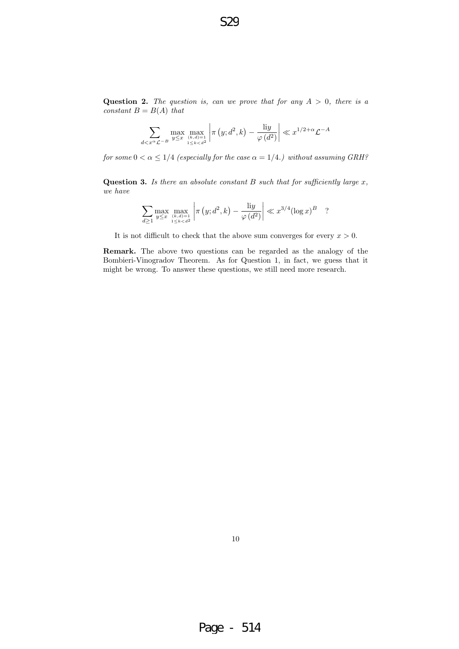S29

Question 2. The question is, can we prove that for any  $A > 0$ , there is a constant  $B = B(A)$  that

$$
\sum_{d < x^{\alpha} \mathcal{L}^{-B}} \max_{y \leq x} \max_{\substack{(k,d)=1 \\ 1 \leq k < d^2}} \left| \pi \left( y; d^2, k \right) - \frac{\text{li}y}{\varphi \left( d^2 \right)} \right| \ll x^{1/2 + \alpha} \mathcal{L}^{-A}
$$

for some  $0 < \alpha \leq 1/4$  (especially for the case  $\alpha = 1/4$ .) without assuming GRH?

**Question 3.** Is there an absolute constant B such that for sufficiently large  $x$ , we have

$$
\sum_{d\geq 1} \max_{y\leq x} \max_{\substack{(k,d)=1\\1\leq k < d^2}} \left| \pi\left(y; d^2, k\right) - \frac{\text{li}y}{\varphi\left(d^2\right)} \right| \ll x^{3/4} (\log x)^B \quad ?
$$

It is not difficult to check that the above sum converges for every  $x > 0$ .

Remark. The above two questions can be regarded as the analogy of the Bombieri-Vinogradov Theorem. As for Question 1, in fact, we guess that it might be wrong. To answer these questions, we still need more research.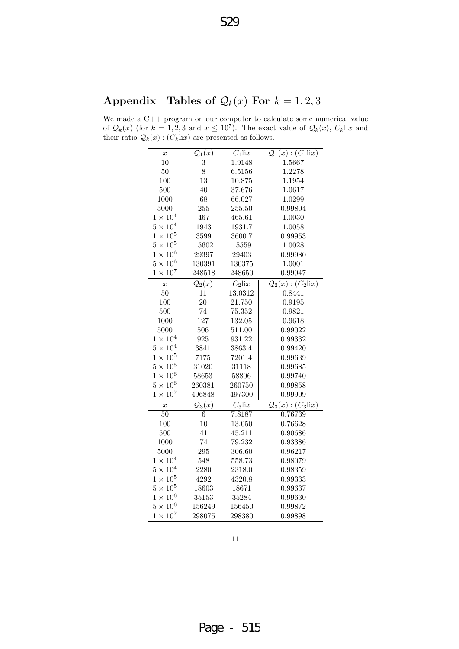# Appendix Tables of  $\mathcal{Q}_k(x)$  For  $k = 1, 2, 3$

We made a C++ program on our computer to calculate some numerical value of  $\mathcal{Q}_k(x)$  (for  $k = 1, 2, 3$  and  $x \leq 10^7$ ). The exact value of  $\mathcal{Q}_k(x)$ ,  $C_k$ lix and their ratio  $Q_k(x)$ :  $(C_k$ lix) are presented as follows.

| $\boldsymbol{x}$ | $\mathcal{Q}_1(x)$ | $C_1$ lix            | $Q_1(x)$ : $(C_1$ lix)                              |
|------------------|--------------------|----------------------|-----------------------------------------------------|
| 10               | 3                  | 1.9148               | 1.5667                                              |
| $50\,$           | 8                  | 6.5156               | 1.2278                                              |
| 100              | 13                 | 10.875               | 1.1954                                              |
| 500              | 40                 | 37.676               | 1.0617                                              |
| 1000             | 68                 | 66.027               | 1.0299                                              |
| 5000             | 255                | 255.50               | 0.99804                                             |
| $1\times10^4$    | 467                | 465.61               | 1.0030                                              |
| $5\times10^4$    | 1943               | 1931.7               | 1.0058                                              |
| $1 \times 10^5$  | 3599               | 3600.7               | 0.99953                                             |
| $5\times10^5$    | 15602              | 15559                | 1.0028                                              |
| $1\times10^6$    | 29397              | 29403                | 0.99980                                             |
| $5\times10^6$    | 130391             | 130375               | 1.0001                                              |
| $1 \times 10^7$  | 248518             | 248650               | 0.99947                                             |
| $\boldsymbol{x}$ | $\mathcal{Q}_2(x)$ | $\overline{C_2$ lix  | $\mathcal{Q}_2(x)$ : $\overline{(C_2 \text{li} x)}$ |
| $50\,$           | 11                 | 13.0312              | 0.8441                                              |
| 100              | 20                 | 21.750               | 0.9195                                              |
| 500              | $74\,$             | 75.352               | 0.9821                                              |
| 1000             | 127                | 132.05               | 0.9618                                              |
| 5000             | 506                | 511.00               | 0.99022                                             |
| $1\times10^4$    | $\boldsymbol{925}$ | 931.22               | 0.99332                                             |
| $5 \times 10^4$  | 3841               | 3863.4               | 0.99420                                             |
| $1\times10^5$    | 7175               | 7201.4               | 0.99639                                             |
| $5\times10^5$    | 31020              | 31118                | 0.99685                                             |
| $1\times10^6$    | 58653              | 58806                | 0.99740                                             |
| $5\times10^6$    | 260381             | 260750               | 0.99858                                             |
| $1\times10^7$    | 496848             | 497300               | 0.99909                                             |
| $\boldsymbol{x}$ | $\mathcal{Q}_3(x)$ | $\overline{C_3}$ lix | $\mathcal{Q}_3(x) : (C_3$ lix)                      |
| $\overline{50}$  | $\overline{6}$     | 7.8187               | 0.76739                                             |
| 100              | 10                 | 13.050               | 0.76628                                             |
| 500              | 41                 | 45.211               | 0.90686                                             |
| 1000             | 74                 | 79.232               | 0.93386                                             |
| 5000             | 295                | 306.60               | 0.96217                                             |
| $1 \times 10^4$  | 548                | 558.73               | 0.98079                                             |
| $5\times10^4$    | 2280               | 2318.0               | 0.98359                                             |
| $1\times10^5$    | 4292               | 4320.8               | 0.99333                                             |
| $5\times10^5$    | 18603              | 18671                | 0.99637                                             |
| $1\times10^6$    | 35153              | 35284                | 0.99630                                             |
| $5\times10^6$    | 156249             | 156450               | 0.99872                                             |
| $1\times10^7$    | 298075             | 298380               | 0.99898                                             |